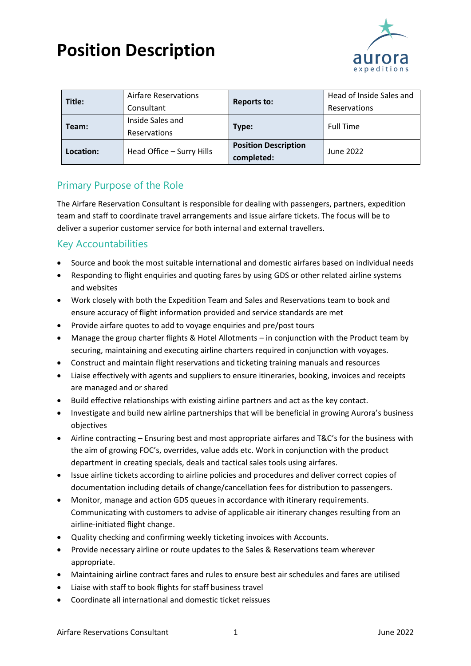## **Position Description**



| Title:    | Airfare Reservations      | <b>Reports to:</b>          | Head of Inside Sales and |
|-----------|---------------------------|-----------------------------|--------------------------|
|           | Consultant                |                             | Reservations             |
| Team:     | Inside Sales and          |                             | <b>Full Time</b>         |
|           | Reservations              | Type:                       |                          |
| Location: | Head Office - Surry Hills | <b>Position Description</b> | June 2022                |
|           |                           | completed:                  |                          |

### Primary Purpose of the Role

The Airfare Reservation Consultant is responsible for dealing with passengers, partners, expedition team and staff to coordinate travel arrangements and issue airfare tickets. The focus will be to deliver a superior customer service for both internal and external travellers.

#### Key Accountabilities

- Source and book the most suitable international and domestic airfares based on individual needs
- Responding to flight enquiries and quoting fares by using GDS or other related airline systems and websites
- Work closely with both the Expedition Team and Sales and Reservations team to book and ensure accuracy of flight information provided and service standards are met
- Provide airfare quotes to add to voyage enquiries and pre/post tours
- Manage the group charter flights & Hotel Allotments in conjunction with the Product team by securing, maintaining and executing airline charters required in conjunction with voyages.
- Construct and maintain flight reservations and ticketing training manuals and resources
- Liaise effectively with agents and suppliers to ensure itineraries, booking, invoices and receipts are managed and or shared
- Build effective relationships with existing airline partners and act as the key contact.
- Investigate and build new airline partnerships that will be beneficial in growing Aurora's business objectives
- Airline contracting Ensuring best and most appropriate airfares and T&C's for the business with the aim of growing FOC's, overrides, value adds etc. Work in conjunction with the product department in creating specials, deals and tactical sales tools using airfares.
- Issue airline tickets according to airline policies and procedures and deliver correct copies of documentation including details of change/cancellation fees for distribution to passengers.
- Monitor, manage and action GDS queues in accordance with itinerary requirements. Communicating with customers to advise of applicable air itinerary changes resulting from an airline-initiated flight change.
- Quality checking and confirming weekly ticketing invoices with Accounts.
- Provide necessary airline or route updates to the Sales & Reservations team wherever appropriate.
- Maintaining airline contract fares and rules to ensure best air schedules and fares are utilised
- Liaise with staff to book flights for staff business travel
- Coordinate all international and domestic ticket reissues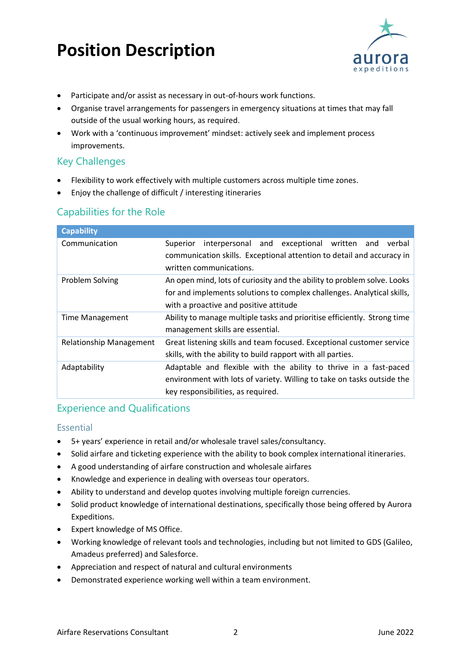## **Position Description**



- Participate and/or assist as necessary in out-of-hours work functions.
- Organise travel arrangements for passengers in emergency situations at times that may fall outside of the usual working hours, as required.
- Work with a 'continuous improvement' mindset: actively seek and implement process improvements.

#### Key Challenges

- Flexibility to work effectively with multiple customers across multiple time zones.
- Enjoy the challenge of difficult / interesting itineraries

#### Capabilities for the Role

| <b>Capability</b>              |                                                                                                                                                                                             |
|--------------------------------|---------------------------------------------------------------------------------------------------------------------------------------------------------------------------------------------|
| Communication                  | interpersonal and exceptional written<br>Superior<br>verbal<br>and<br>communication skills. Exceptional attention to detail and accuracy in<br>written communications.                      |
| Problem Solving                | An open mind, lots of curiosity and the ability to problem solve. Looks<br>for and implements solutions to complex challenges. Analytical skills,<br>with a proactive and positive attitude |
| <b>Time Management</b>         | Ability to manage multiple tasks and prioritise efficiently. Strong time<br>management skills are essential.                                                                                |
| <b>Relationship Management</b> | Great listening skills and team focused. Exceptional customer service<br>skills, with the ability to build rapport with all parties.                                                        |
| Adaptability                   | Adaptable and flexible with the ability to thrive in a fast-paced<br>environment with lots of variety. Willing to take on tasks outside the<br>key responsibilities, as required.           |

#### Experience and Qualifications

#### Essential

- 5+ years' experience in retail and/or wholesale travel sales/consultancy.
- Solid airfare and ticketing experience with the ability to book complex international itineraries.
- A good understanding of airfare construction and wholesale airfares
- Knowledge and experience in dealing with overseas tour operators.
- Ability to understand and develop quotes involving multiple foreign currencies.
- Solid product knowledge of international destinations, specifically those being offered by Aurora Expeditions.
- Expert knowledge of MS Office.
- Working knowledge of relevant tools and technologies, including but not limited to GDS (Galileo, Amadeus preferred) and Salesforce.
- Appreciation and respect of natural and cultural environments
- Demonstrated experience working well within a team environment.